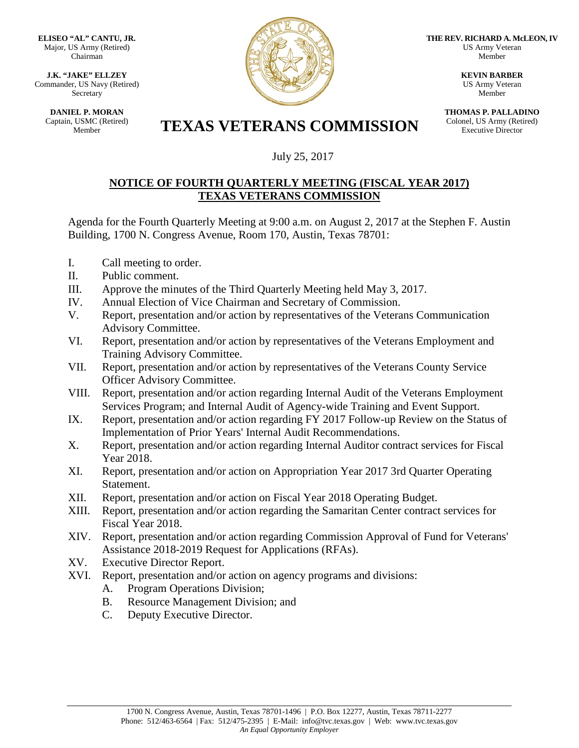**ELISEO "AL" CANTU, JR.** Major, US Army (Retired) Chairman

**J.K. "JAKE" ELLZEY** Commander, US Navy (Retired) Secretary

**DANIEL P. MORAN** Captain, USMC (Retired)



**THE REV. RICHARD A. McLEON, IV** US Army Veteran Member

> **KEVIN BARBER** US Army Veteran Member

**THOMAS P. PALLADINO** Colonel, US Army (Retired) Executive Director

## **TEXAS VETERANS COMMISSION**

## July 25, 2017

## **NOTICE OF FOURTH QUARTERLY MEETING (FISCAL YEAR 2017) TEXAS VETERANS COMMISSION**

Agenda for the Fourth Quarterly Meeting at 9:00 a.m. on August 2, 2017 at the Stephen F. Austin Building, 1700 N. Congress Avenue, Room 170, Austin, Texas 78701:

- I. Call meeting to order.
- II. Public comment.
- III. Approve the minutes of the Third Quarterly Meeting held May 3, 2017.
- IV. Annual Election of Vice Chairman and Secretary of Commission.
- V. Report, presentation and/or action by representatives of the Veterans Communication Advisory Committee.
- VI. Report, presentation and/or action by representatives of the Veterans Employment and Training Advisory Committee.
- VII. Report, presentation and/or action by representatives of the Veterans County Service Officer Advisory Committee.
- VIII. Report, presentation and/or action regarding Internal Audit of the Veterans Employment Services Program; and Internal Audit of Agency-wide Training and Event Support.
- IX. Report, presentation and/or action regarding FY 2017 Follow-up Review on the Status of Implementation of Prior Years' Internal Audit Recommendations.
- X. Report, presentation and/or action regarding Internal Auditor contract services for Fiscal Year 2018.
- XI. Report, presentation and/or action on Appropriation Year 2017 3rd Quarter Operating Statement.
- XII. Report, presentation and/or action on Fiscal Year 2018 Operating Budget.
- XIII. Report, presentation and/or action regarding the Samaritan Center contract services for Fiscal Year 2018.
- XIV. Report, presentation and/or action regarding Commission Approval of Fund for Veterans' Assistance 2018-2019 Request for Applications (RFAs).
- XV. Executive Director Report.
- XVI. Report, presentation and/or action on agency programs and divisions:
	- A. Program Operations Division;
	- B. Resource Management Division; and
	- C. Deputy Executive Director.